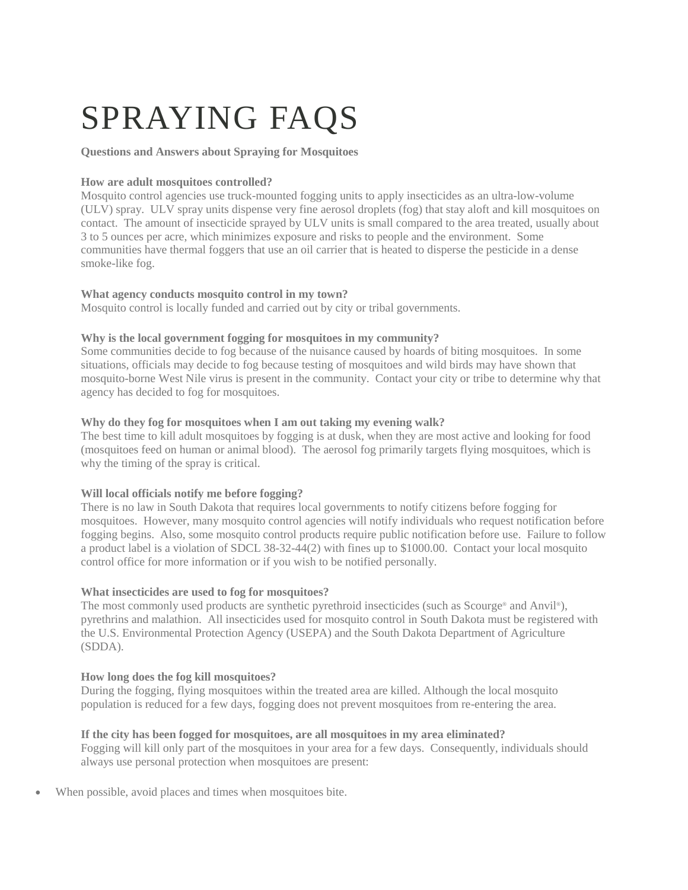# SPRAYING FAQS

# **Questions and Answers about Spraying for Mosquitoes**

# **How are adult mosquitoes controlled?**

Mosquito control agencies use truck-mounted fogging units to apply insecticides as an ultra-low-volume (ULV) spray. ULV spray units dispense very fine aerosol droplets (fog) that stay aloft and kill mosquitoes on contact. The amount of insecticide sprayed by ULV units is small compared to the area treated, usually about 3 to 5 ounces per acre, which minimizes exposure and risks to people and the environment. Some communities have thermal foggers that use an oil carrier that is heated to disperse the pesticide in a dense smoke-like fog.

# **What agency conducts mosquito control in my town?**

Mosquito control is locally funded and carried out by city or tribal governments.

# **Why is the local government fogging for mosquitoes in my community?**

Some communities decide to fog because of the nuisance caused by hoards of biting mosquitoes. In some situations, officials may decide to fog because testing of mosquitoes and wild birds may have shown that mosquito-borne West Nile virus is present in the community. Contact your city or tribe to determine why that agency has decided to fog for mosquitoes.

## **Why do they fog for mosquitoes when I am out taking my evening walk?**

The best time to kill adult mosquitoes by fogging is at dusk, when they are most active and looking for food (mosquitoes feed on human or animal blood). The aerosol fog primarily targets flying mosquitoes, which is why the timing of the spray is critical.

# **Will local officials notify me before fogging?**

There is no law in South Dakota that requires local governments to notify citizens before fogging for mosquitoes. However, many mosquito control agencies will notify individuals who request notification before fogging begins. Also, some mosquito control products require public notification before use. Failure to follow a product label is a violation of SDCL 38-32-44(2) with fines up to \$1000.00. Contact your local mosquito control office for more information or if you wish to be notified personally.

# **What insecticides are used to fog for mosquitoes?**

The most commonly used products are synthetic pyrethroid insecticides (such as Scourge® and Anvil®), pyrethrins and malathion. All insecticides used for mosquito control in South Dakota must be registered with the U.S. Environmental Protection Agency (USEPA) and the South Dakota Department of Agriculture (SDDA).

# **How long does the fog kill mosquitoes?**

During the fogging, flying mosquitoes within the treated area are killed. Although the local mosquito population is reduced for a few days, fogging does not prevent mosquitoes from re-entering the area.

#### **If the city has been fogged for mosquitoes, are all mosquitoes in my area eliminated?**

Fogging will kill only part of the mosquitoes in your area for a few days. Consequently, individuals should always use personal protection when mosquitoes are present:

When possible, avoid places and times when mosquitoes bite.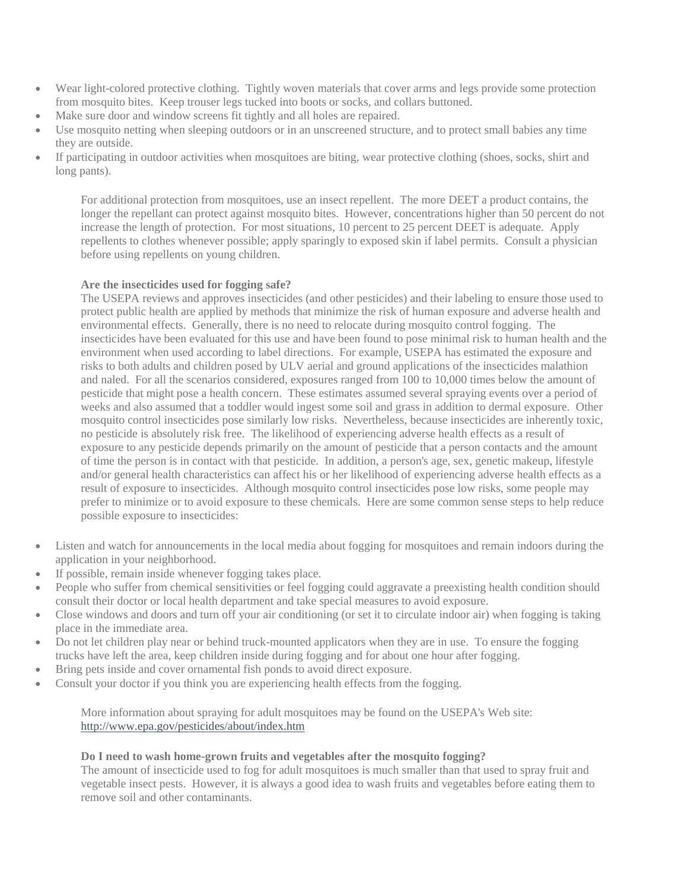- Wear light-colored protective clothing. Tightly woven materials that cover arms and legs provide some protection from mosquito bites. Keep trouser legs tucked into boots or socks, and collars buttoned.
- Make sure door and window screens fit tightly and all holes are repaired.
- Use mosquito netting when sleeping outdoors or in an unscreened structure, and to protect small babies any time they are outside.
- If participating in outdoor activities when mosquitoes are biting, wear protective clothing (shoes, socks, shirt and long pants).

For additional protection from mosquitoes, use an insect repellent. The more DEET a product contains, the longer the repellant can protect against mosquito bites. However, concentrations higher than 50 percent do not increase the length of protection. For most situations, 10 percent to 25 percent DEET is adequate. Apply repellents to clothes whenever possible; apply sparingly to exposed skin if label permits. Consult a physician before using repellents on young children.

## **Are the insecticides used for fogging safe?**

The USEPA reviews and approves insecticides (and other pesticides) and their labeling to ensure those used to protect public health are applied by methods that minimize the risk of human exposure and adverse health and environmental effects. Generally, there is no need to relocate during mosquito control fogging. The insecticides have been evaluated for this use and have been found to pose minimal risk to human health and the environment when used according to label directions. For example, USEPA has estimated the exposure and risks to both adults and children posed by ULV aerial and ground applications of the insecticides malathion and naled. For all the scenarios considered, exposures ranged from 100 to 10,000 times below the amount of pesticide that might pose a health concern. These estimates assumed several spraying events over a period of weeks and also assumed that a toddler would ingest some soil and grass in addition to dermal exposure. Other mosquito control insecticides pose similarly low risks. Nevertheless, because insecticides are inherently toxic, no pesticide is absolutely risk free. The likelihood of experiencing adverse health effects as a result of exposure to any pesticide depends primarily on the amount of pesticide that a person contacts and the amount of time the person is in contact with that pesticide. In addition, a person's age, sex, genetic makeup, lifestyle and/or general health characteristics can affect his or her likelihood of experiencing adverse health effects as a result of exposure to insecticides. Although mosquito control insecticides pose low risks, some people may prefer to minimize or to avoid exposure to these chemicals. Here are some common sense steps to help reduce possible exposure to insecticides:

- Listen and watch for announcements in the local media about fogging for mosquitoes and remain indoors during the application in your neighborhood.
- If possible, remain inside whenever fogging takes place.
- People who suffer from chemical sensitivities or feel fogging could aggravate a preexisting health condition should consult their doctor or local health department and take special measures to avoid exposure.
- Close windows and doors and turn off your air conditioning (or set it to circulate indoor air) when fogging is taking place in the immediate area.
- Do not let children play near or behind truck-mounted applicators when they are in use. To ensure the fogging trucks have left the area, keep children inside during fogging and for about one hour after fogging.
- Bring pets inside and cover ornamental fish ponds to avoid direct exposure.
- Consult your doctor if you think you are experiencing health effects from the fogging.

More information about spraying for adult mosquitoes may be found on the USEPA's Web site: http://www.epa.gov/pesticides/about/index.htm

#### **Do I need to wash home-grown fruits and vegetables after the mosquito fogging?**

The amount of insecticide used to fog for adult mosquitoes is much smaller than that used to spray fruit and vegetable insect pests. However, it is always a good idea to wash fruits and vegetables before eating them to remove soil and other contaminants.